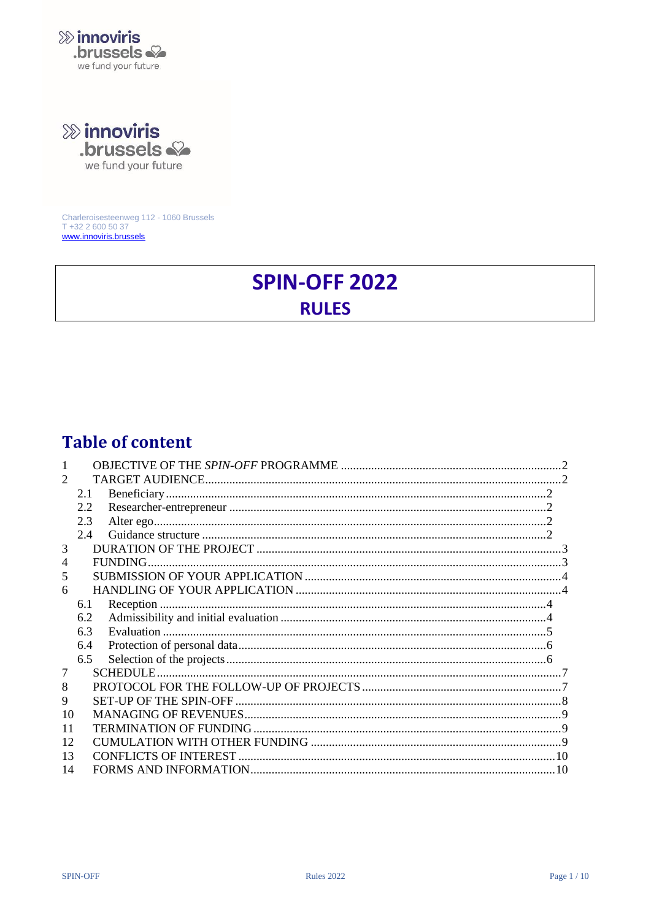

**»** innoviris

brussels & we fund your future

Charleroisesteenweg 112 - 1060 Brussels T +32 2 600 50 37 www.innoviris.brussels

# **SPIN-OFF 2022 RULES**

# **Table of content**

| $\mathcal{D}_{\mathcal{L}}$ |     |  |
|-----------------------------|-----|--|
|                             | 2.1 |  |
|                             | 2.2 |  |
|                             | 2.3 |  |
|                             | 2.4 |  |
| 3                           |     |  |
| 4                           |     |  |
| 5                           |     |  |
| 6                           |     |  |
|                             | 6.1 |  |
|                             | 6.2 |  |
|                             | 6.3 |  |
|                             | 6.4 |  |
|                             | 6.5 |  |
| 7                           |     |  |
| 8                           |     |  |
| 9                           |     |  |
| 10                          |     |  |
| 11                          |     |  |
| 12                          |     |  |
| 13                          |     |  |
| 14                          |     |  |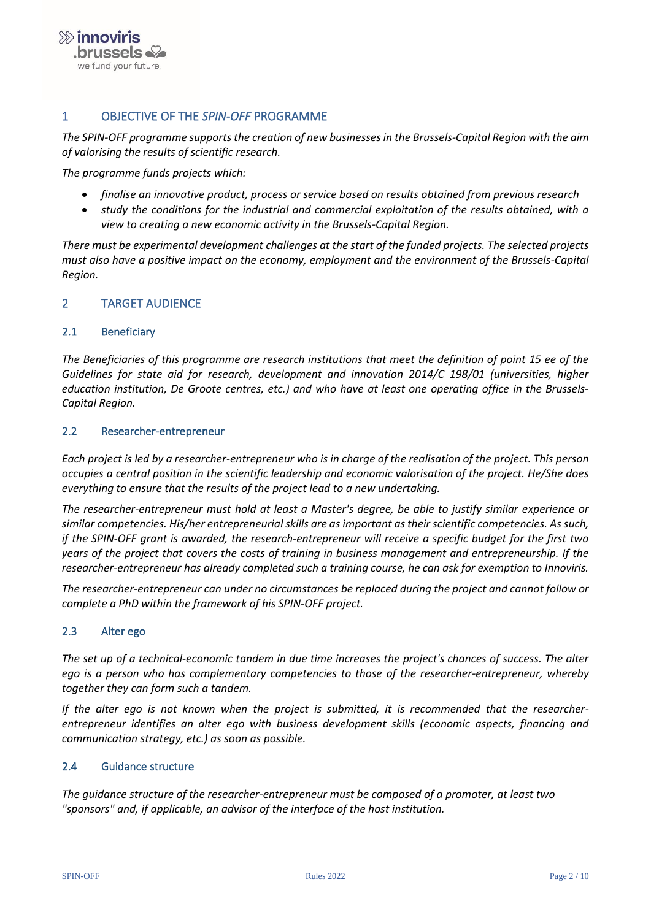

# <span id="page-1-0"></span>1 OBJECTIVE OF THE *SPIN-OFF* PROGRAMME

*The SPIN-OFF programme supports the creation of new businesses in the Brussels-Capital Region with the aim of valorising the results of scientific research.*

*The programme funds projects which:*

- *finalise an innovative product, process or service based on results obtained from previous research*
- *study the conditions for the industrial and commercial exploitation of the results obtained, with a view to creating a new economic activity in the Brussels-Capital Region.*

*There must be experimental development challenges at the start of the funded projects. The selected projects must also have a positive impact on the economy, employment and the environment of the Brussels-Capital Region.* 

#### <span id="page-1-2"></span><span id="page-1-1"></span>2 TARGET AUDIENCE

#### 2.1 Beneficiary

*The Beneficiaries of this programme are research institutions that meet the definition of point 15 ee of the Guidelines for state aid for research, development and innovation 2014/C 198/01 (universities, higher education institution, De Groote centres, etc.) and who have at least one operating office in the Brussels-Capital Region.* 

#### <span id="page-1-3"></span>2.2 Researcher-entrepreneur

*Each project is led by a researcher-entrepreneur who is in charge of the realisation of the project. This person occupies a central position in the scientific leadership and economic valorisation of the project. He/She does everything to ensure that the results of the project lead to a new undertaking.*

*The researcher-entrepreneur must hold at least a Master's degree, be able to justify similar experience or similar competencies. His/her entrepreneurial skills are as important as their scientific competencies. As such, if the SPIN-OFF grant is awarded, the research-entrepreneur will receive a specific budget for the first two years of the project that covers the costs of training in business management and entrepreneurship. If the researcher-entrepreneur has already completed such a training course, he can ask for exemption to Innoviris.*

*The researcher-entrepreneur can under no circumstances be replaced during the project and cannot follow or complete a PhD within the framework of his SPIN-OFF project.*

#### <span id="page-1-4"></span>2.3 Alter ego

*The set up of a technical-economic tandem in due time increases the project's chances of success. The alter ego is a person who has complementary competencies to those of the researcher-entrepreneur, whereby together they can form such a tandem.*

*If the alter ego is not known when the project is submitted, it is recommended that the researcherentrepreneur identifies an alter ego with business development skills (economic aspects, financing and communication strategy, etc.) as soon as possible.* 

#### <span id="page-1-5"></span>2.4 Guidance structure

*The guidance structure of the researcher-entrepreneur must be composed of a promoter, at least two "sponsors" and, if applicable, an advisor of the interface of the host institution.*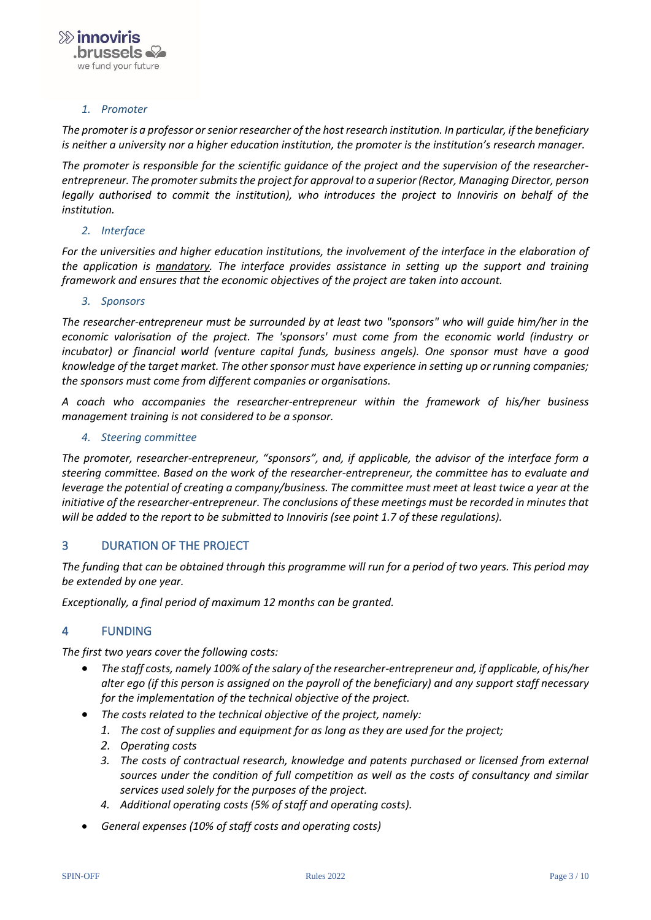#### *1. Promoter*

*The promoter is a professor or senior researcher of the host research institution. In particular, if the beneficiary is neither a university nor a higher education institution, the promoter is the institution's research manager.*

*The promoter is responsible for the scientific guidance of the project and the supervision of the researcherentrepreneur. The promoter submits the project for approval to a superior (Rector, Managing Director, person legally authorised to commit the institution), who introduces the project to Innoviris on behalf of the institution.*

#### *2. Interface*

*For the universities and higher education institutions, the involvement of the interface in the elaboration of the application is mandatory. The interface provides assistance in setting up the support and training framework and ensures that the economic objectives of the project are taken into account.*

#### *3. Sponsors*

*The researcher-entrepreneur must be surrounded by at least two "sponsors" who will guide him/her in the economic valorisation of the project. The 'sponsors' must come from the economic world (industry or incubator) or financial world (venture capital funds, business angels). One sponsor must have a good knowledge of the target market. The other sponsor must have experience in setting up or running companies; the sponsors must come from different companies or organisations.* 

*A coach who accompanies the researcher-entrepreneur within the framework of his/her business management training is not considered to be a sponsor.*

#### *4. Steering committee*

*The promoter, researcher-entrepreneur, "sponsors", and, if applicable, the advisor of the interface form a steering committee. Based on the work of the researcher-entrepreneur, the committee has to evaluate and leverage the potential of creating a company/business. The committee must meet at least twice a year at the initiative of the researcher-entrepreneur. The conclusions of these meetings must be recorded in minutes that will be added to the report to be submitted to Innoviris (see point 1.7 of these regulations).*

#### <span id="page-2-0"></span>3 DURATION OF THE PROJECT

*The funding that can be obtained through this programme will run for a period of two years. This period may be extended by one year.*

<span id="page-2-1"></span>*Exceptionally, a final period of maximum 12 months can be granted.*

#### 4 FUNDING

*The first two years cover the following costs:* 

- *The staff costs, namely 100% of the salary of the researcher-entrepreneur and, if applicable, of his/her alter ego (if this person is assigned on the payroll of the beneficiary) and any support staff necessary for the implementation of the technical objective of the project.*
- *The costs related to the technical objective of the project, namely:* 
	- *1. The cost of supplies and equipment for as long as they are used for the project;*
	- *2. Operating costs*
	- *3. The costs of contractual research, knowledge and patents purchased or licensed from external sources under the condition of full competition as well as the costs of consultancy and similar services used solely for the purposes of the project.*
	- *4. Additional operating costs (5% of staff and operating costs).*
- *General expenses (10% of staff costs and operating costs)*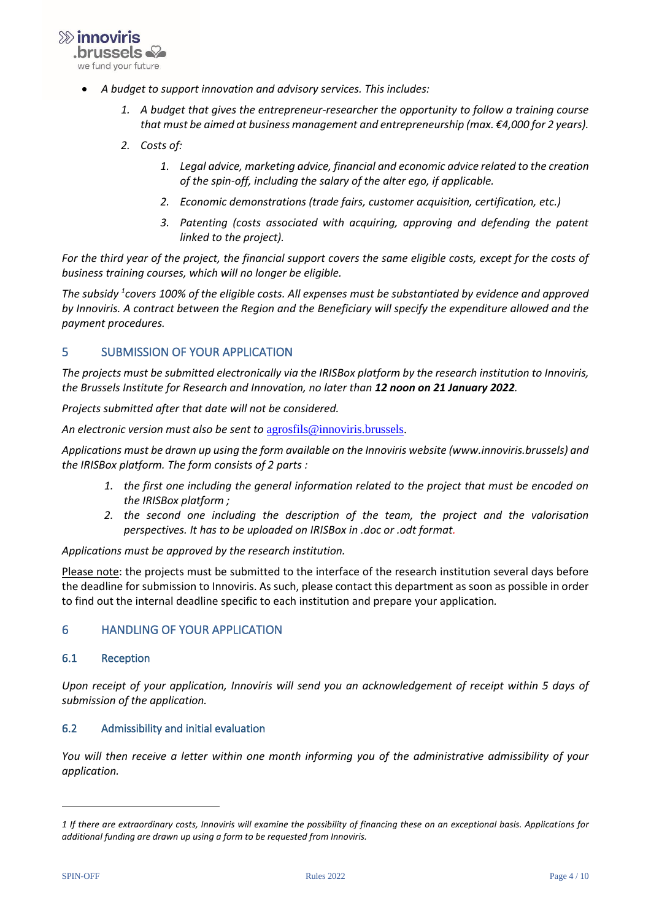$\gg$  innoviris .brussels  $\mathbb{Q}$ we fund your future.

- *A budget to support innovation and advisory services. This includes:*
	- *1. A budget that gives the entrepreneur-researcher the opportunity to follow a training course that must be aimed at business management and entrepreneurship (max. €4,000 for 2 years).*
	- *2. Costs of:* 
		- *1. Legal advice, marketing advice, financial and economic advice related to the creation of the spin-off, including the salary of the alter ego, if applicable.*
		- *2. Economic demonstrations (trade fairs, customer acquisition, certification, etc.)*
		- *3. Patenting (costs associated with acquiring, approving and defending the patent linked to the project).*

*For the third year of the project, the financial support covers the same eligible costs, except for the costs of business training courses, which will no longer be eligible.* 

*The subsidy <sup>1</sup> covers 100% of the eligible costs. All expenses must be substantiated by evidence and approved by Innoviris. A contract between the Region and the Beneficiary will specify the expenditure allowed and the payment procedures.*

# <span id="page-3-0"></span>5 SUBMISSION OF YOUR APPLICATION

*The projects must be submitted electronically via the IRISBox platform by the research institution to Innoviris, the Brussels Institute for Research and Innovation, no later than 12 noon on 21 January 2022.* 

*Projects submitted after that date will not be considered.* 

*An electronic version must also be sent to* [agrosfils@innoviris.brussels.](mailto:agrosfils@innoviris.brussels)

*Applications must be drawn up using the form available on the Innoviris website (www.innoviris.brussels) and the IRISBox platform. The form consists of 2 parts :* 

- *1. the first one including the general information related to the project that must be encoded on the IRISBox platform ;*
- *2. the second one including the description of the team, the project and the valorisation perspectives. It has to be uploaded on IRISBox in .doc or .odt format.*

*Applications must be approved by the research institution.*

Please note: the projects must be submitted to the interface of the research institution several days before the deadline for submission to Innoviris. As such, please contact this department as soon as possible in order to find out the internal deadline specific to each institution and prepare your application*.*

#### <span id="page-3-2"></span><span id="page-3-1"></span>6 HANDLING OF YOUR APPLICATION

#### 6.1 Reception

*Upon receipt of your application, Innoviris will send you an acknowledgement of receipt within 5 days of submission of the application.*

#### <span id="page-3-3"></span>6.2 Admissibility and initial evaluation

*You will then receive a letter within one month informing you of the administrative admissibility of your application.*

*<sup>1</sup> If there are extraordinary costs, Innoviris will examine the possibility of financing these on an exceptional basis. Applications for additional funding are drawn up using a form to be requested from Innoviris.*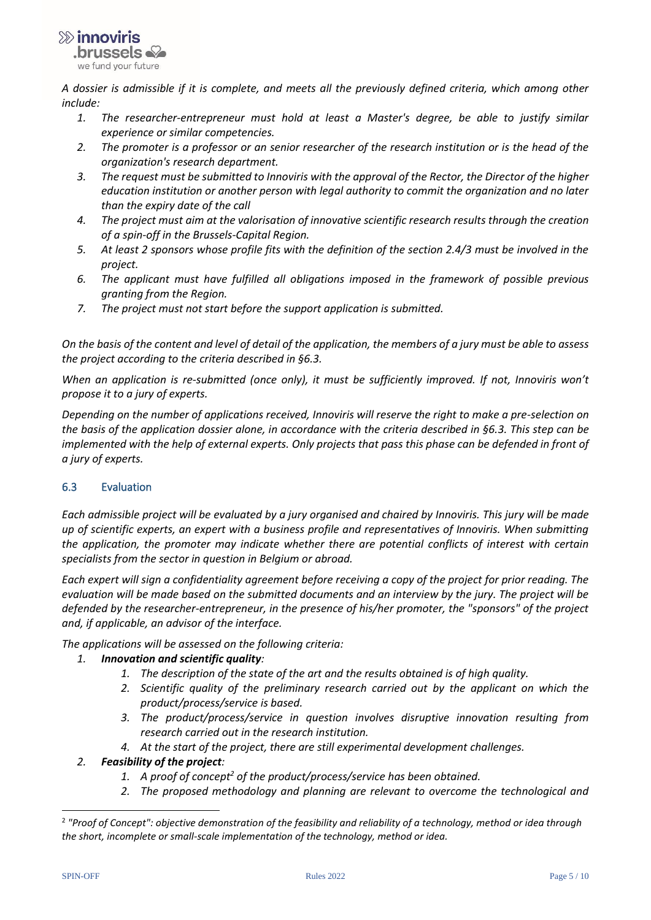

*A dossier is admissible if it is complete, and meets all the previously defined criteria, which among other include:* 

- *1. The researcher-entrepreneur must hold at least a Master's degree, be able to justify similar experience or similar competencies.*
- *2. The promoter is a professor or an senior researcher of the research institution or is the head of the organization's research department.*
- *3. The request must be submitted to Innoviris with the approval of the Rector, the Director of the higher education institution or another person with legal authority to commit the organization and no later than the expiry date of the call*
- *4. The project must aim at the valorisation of innovative scientific research results through the creation of a spin-off in the Brussels-Capital Region.*
- *5. At least 2 sponsors whose profile fits with the definition of the section 2.4/3 must be involved in the project.*
- *6. The applicant must have fulfilled all obligations imposed in the framework of possible previous granting from the Region.*
- *7. The project must not start before the support application is submitted.*

*On the basis of the content and level of detail of the application, the members of a jury must be able to assess the project according to the criteria described in §6.3.*

*When an application is re-submitted (once only), it must be sufficiently improved. If not, Innoviris won't propose it to a jury of experts.*

*Depending on the number of applications received, Innoviris will reserve the right to make a pre-selection on the basis of the application dossier alone, in accordance with the criteria described in §6.3. This step can be implemented with the help of external experts. Only projects that pass this phase can be defended in front of a jury of experts.*

# <span id="page-4-0"></span>6.3 Evaluation

*Each admissible project will be evaluated by a jury organised and chaired by Innoviris. This jury will be made up of scientific experts, an expert with a business profile and representatives of Innoviris. When submitting the application, the promoter may indicate whether there are potential conflicts of interest with certain specialists from the sector in question in Belgium or abroad.*

*Each expert will sign a confidentiality agreement before receiving a copy of the project for prior reading. The evaluation will be made based on the submitted documents and an interview by the jury. The project will be defended by the researcher-entrepreneur, in the presence of his/her promoter, the "sponsors" of the project and, if applicable, an advisor of the interface.*

*The applications will be assessed on the following criteria:* 

# *1. Innovation and scientific quality:*

- *1. The description of the state of the art and the results obtained is of high quality.*
- *2. Scientific quality of the preliminary research carried out by the applicant on which the product/process/service is based.*
- *3. The product/process/service in question involves disruptive innovation resulting from research carried out in the research institution.*
- *4. At the start of the project, there are still experimental development challenges.*

# *2. Feasibility of the project:*

- *1. A proof of concept<sup>2</sup> of the product/process/service has been obtained.*
- *2. The proposed methodology and planning are relevant to overcome the technological and*

<sup>2</sup> *"Proof of Concept": objective demonstration of the feasibility and reliability of a technology, method or idea through the short, incomplete or small-scale implementation of the technology, method or idea.*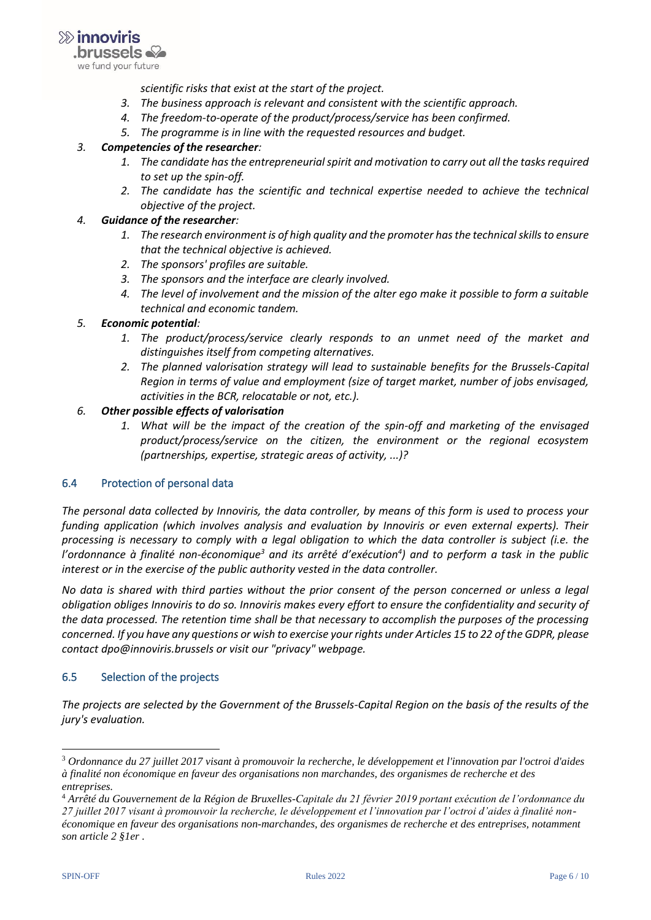

*scientific risks that exist at the start of the project.*

- *3. The business approach is relevant and consistent with the scientific approach.*
- *4. The freedom-to-operate of the product/process/service has been confirmed.*
- *5. The programme is in line with the requested resources and budget.*

#### *3. Competencies of the researcher:*

- *1. The candidate has the entrepreneurial spirit and motivation to carry out all the tasks required to set up the spin-off.*
- *2. The candidate has the scientific and technical expertise needed to achieve the technical objective of the project.*

#### *4. Guidance of the researcher:*

- *1. The research environment is of high quality and the promoter has the technical skills to ensure that the technical objective is achieved.*
- *2. The sponsors' profiles are suitable.*
- *3. The sponsors and the interface are clearly involved.*
- *4. The level of involvement and the mission of the alter ego make it possible to form a suitable technical and economic tandem.*

#### *5. Economic potential:*

- *1. The product/process/service clearly responds to an unmet need of the market and distinguishes itself from competing alternatives.*
- *2. The planned valorisation strategy will lead to sustainable benefits for the Brussels-Capital Region in terms of value and employment (size of target market, number of jobs envisaged, activities in the BCR, relocatable or not, etc.).*

# *6. Other possible effects of valorisation*

*1. What will be the impact of the creation of the spin-off and marketing of the envisaged product/process/service on the citizen, the environment or the regional ecosystem (partnerships, expertise, strategic areas of activity, ...)?*

# <span id="page-5-0"></span>6.4 Protection of personal data

*The personal data collected by Innoviris, the data controller, by means of this form is used to process your funding application (which involves analysis and evaluation by Innoviris or even external experts). Their processing is necessary to comply with a legal obligation to which the data controller is subject (i.e. the l'ordonnance à finalité non-économique<sup>3</sup> and its arrêté d'exécution<sup>4</sup> ) and to perform a task in the public interest or in the exercise of the public authority vested in the data controller.*

*No data is shared with third parties without the prior consent of the person concerned or unless a legal obligation obliges Innoviris to do so. Innoviris makes every effort to ensure the confidentiality and security of the data processed. The retention time shall be that necessary to accomplish the purposes of the processing concerned. If you have any questions or wish to exercise your rights under Articles 15 to 22 of the GDPR, please contact dpo@innoviris.brussels or visit our "privacy" webpage.*

#### <span id="page-5-1"></span>6.5 Selection of the projects

*The projects are selected by the Government of the Brussels-Capital Region on the basis of the results of the jury's evaluation.*

<sup>3</sup> *Ordonnance du 27 juillet 2017 visant à promouvoir la recherche, le développement et l'innovation par l'octroi d'aides à finalité non économique en faveur des organisations non marchandes, des organismes de recherche et des entreprises.*

<sup>4</sup> *Arrêté du Gouvernement de la Région de Bruxelles-Capitale du 21 février 2019 portant exécution de l'ordonnance du 27 juillet 2017 visant à promouvoir la recherche, le développement et l'innovation par l'octroi d'aides à finalité nonéconomique en faveur des organisations non-marchandes, des organismes de recherche et des entreprises, notamment son article 2 §1er .*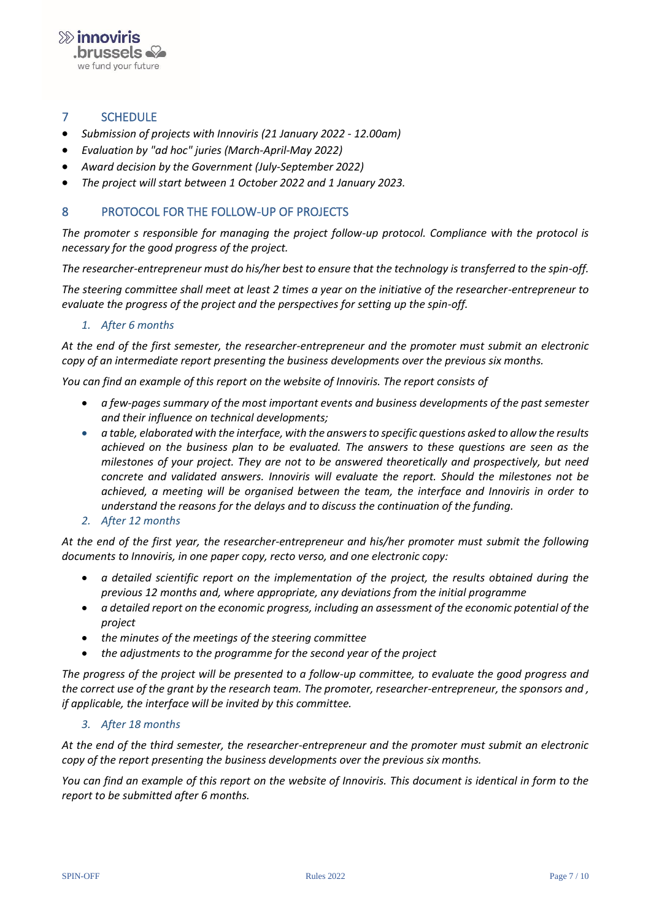

# <span id="page-6-0"></span>7 SCHEDULE

- *Submission of projects with Innoviris (21 January 2022 - 12.00am)*
- *Evaluation by "ad hoc" juries (March-April-May 2022)*
- *Award decision by the Government (July-September 2022)*
- *The project will start between 1 October 2022 and 1 January 2023.*

# <span id="page-6-1"></span>8 PROTOCOL FOR THE FOLLOW-UP OF PROJECTS

*The promoter s responsible for managing the project follow-up protocol. Compliance with the protocol is necessary for the good progress of the project.* 

*The researcher-entrepreneur must do his/her best to ensure that the technology is transferred to the spin-off.* 

*The steering committee shall meet at least 2 times a year on the initiative of the researcher-entrepreneur to evaluate the progress of the project and the perspectives for setting up the spin-off.*

*1. After 6 months*

*At the end of the first semester, the researcher-entrepreneur and the promoter must submit an electronic copy of an intermediate report presenting the business developments over the previous six months.* 

*You can find an example of this report on the website of Innoviris. The report consists of* 

- *a few-pages summary of the most important events and business developments of the past semester and their influence on technical developments;*
- *a table, elaborated with the interface, with the answers to specific questions asked to allow the results achieved on the business plan to be evaluated. The answers to these questions are seen as the milestones of your project. They are not to be answered theoretically and prospectively, but need concrete and validated answers. Innoviris will evaluate the report. Should the milestones not be achieved, a meeting will be organised between the team, the interface and Innoviris in order to understand the reasons for the delays and to discuss the continuation of the funding.*
- *2. After 12 months*

*At the end of the first year, the researcher-entrepreneur and his/her promoter must submit the following documents to Innoviris, in one paper copy, recto verso, and one electronic copy:*

- *a detailed scientific report on the implementation of the project, the results obtained during the previous 12 months and, where appropriate, any deviations from the initial programme*
- *a detailed report on the economic progress, including an assessment of the economic potential of the project*
- *the minutes of the meetings of the steering committee*
- *the adjustments to the programme for the second year of the project*

*The progress of the project will be presented to a follow-up committee, to evaluate the good progress and the correct use of the grant by the research team. The promoter, researcher-entrepreneur, the sponsors and , if applicable, the interface will be invited by this committee.*

#### *3. After 18 months*

*At the end of the third semester, the researcher-entrepreneur and the promoter must submit an electronic copy of the report presenting the business developments over the previous six months.*

*You can find an example of this report on the website of Innoviris. This document is identical in form to the report to be submitted after 6 months.*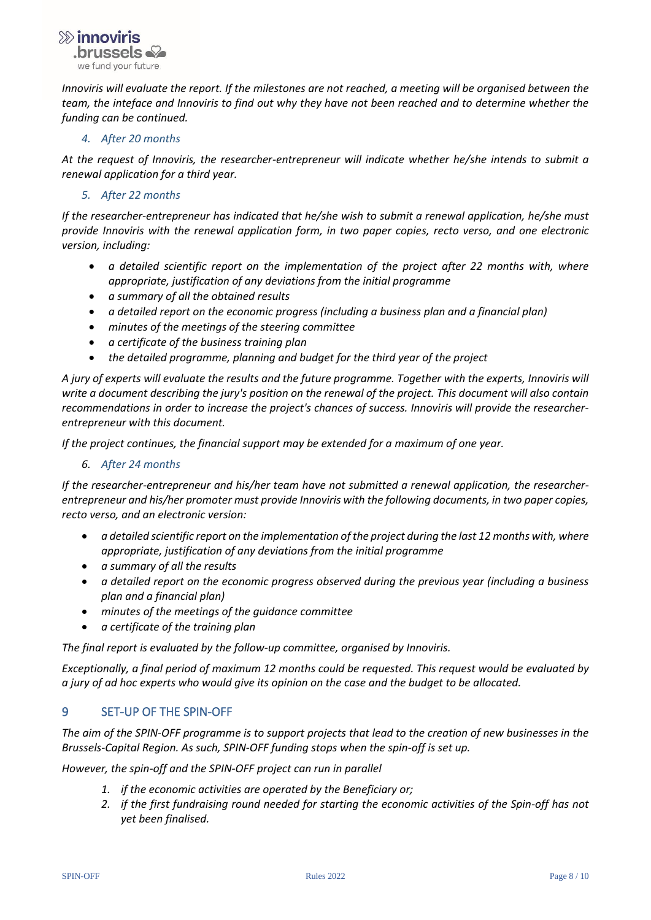$b$ russels we fund your future.

 $\gg$  innoviris

*Innoviris will evaluate the report. If the milestones are not reached, a meeting will be organised between the team, the inteface and Innoviris to find out why they have not been reached and to determine whether the funding can be continued.*

#### *4. After 20 months*

*At the request of Innoviris, the researcher-entrepreneur will indicate whether he/she intends to submit a renewal application for a third year.*

#### *5. After 22 months*

*If the researcher-entrepreneur has indicated that he/she wish to submit a renewal application, he/she must provide Innoviris with the renewal application form, in two paper copies, recto verso, and one electronic version, including:*

- *a detailed scientific report on the implementation of the project after 22 months with, where appropriate, justification of any deviations from the initial programme*
- *a summary of all the obtained results*
- *a detailed report on the economic progress (including a business plan and a financial plan)*
- *minutes of the meetings of the steering committee*
- *a certificate of the business training plan*
- *the detailed programme, planning and budget for the third year of the project*

*A jury of experts will evaluate the results and the future programme. Together with the experts, Innoviris will write a document describing the jury's position on the renewal of the project. This document will also contain recommendations in order to increase the project's chances of success. Innoviris will provide the researcherentrepreneur with this document.* 

*If the project continues, the financial support may be extended for a maximum of one year.*

#### *6. After 24 months*

*If the researcher-entrepreneur and his/her team have not submitted a renewal application, the researcherentrepreneur and his/her promoter must provide Innoviris with the following documents, in two paper copies, recto verso, and an electronic version:* 

- *a detailed scientific report on the implementation of the project during the last 12 months with, where appropriate, justification of any deviations from the initial programme*
- *a summary of all the results*
- *a detailed report on the economic progress observed during the previous year (including a business plan and a financial plan)*
- *minutes of the meetings of the guidance committee*
- *a certificate of the training plan*

*The final report is evaluated by the follow-up committee, organised by Innoviris.*

*Exceptionally, a final period of maximum 12 months could be requested. This request would be evaluated by a jury of ad hoc experts who would give its opinion on the case and the budget to be allocated.* 

# <span id="page-7-0"></span>9 SET-UP OF THE SPIN-OFF

*The aim of the SPIN-OFF programme is to support projects that lead to the creation of new businesses in the Brussels-Capital Region. As such, SPIN-OFF funding stops when the spin-off is set up.* 

*However, the spin-off and the SPIN-OFF project can run in parallel* 

- *1. if the economic activities are operated by the Beneficiary or;*
- *2. if the first fundraising round needed for starting the economic activities of the Spin-off has not yet been finalised.*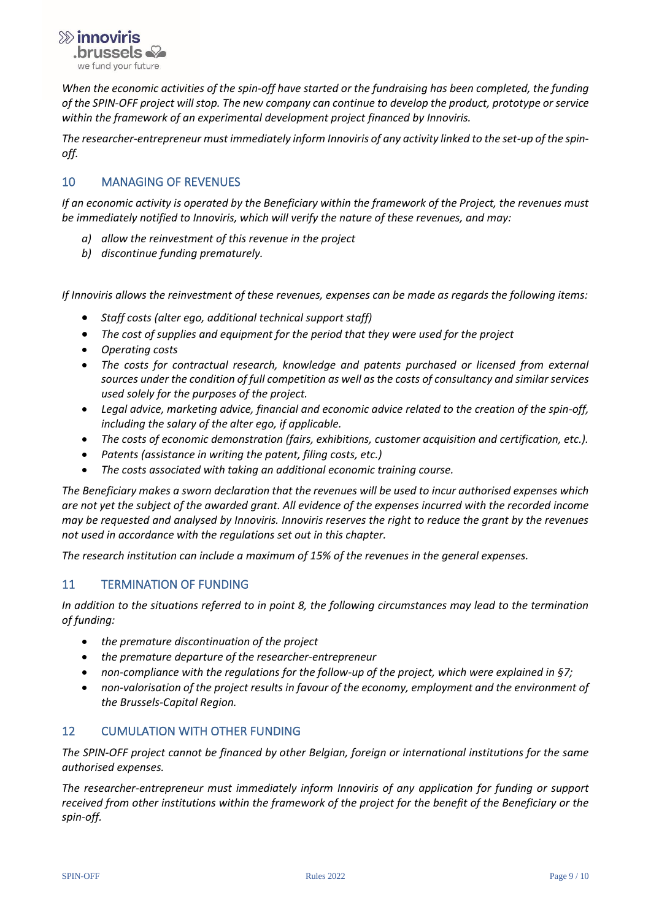

*When the economic activities of the spin-off have started or the fundraising has been completed, the funding of the SPIN-OFF project will stop. The new company can continue to develop the product, prototype or service within the framework of an experimental development project financed by Innoviris.* 

*The researcher-entrepreneur must immediately inform Innoviris of any activity linked to the set-up of the spinoff.*

# <span id="page-8-0"></span>10 MANAGING OF REVENUES

*If an economic activity is operated by the Beneficiary within the framework of the Project, the revenues must be immediately notified to Innoviris, which will verify the nature of these revenues, and may:*

- *a) allow the reinvestment of this revenue in the project*
- *b) discontinue funding prematurely.*

*If Innoviris allows the reinvestment of these revenues, expenses can be made as regards the following items:* 

- *Staff costs (alter ego, additional technical support staff)*
- *The cost of supplies and equipment for the period that they were used for the project*
- *Operating costs*
- *The costs for contractual research, knowledge and patents purchased or licensed from external sources under the condition of full competition as well as the costs of consultancy and similar services used solely for the purposes of the project.*
- *Legal advice, marketing advice, financial and economic advice related to the creation of the spin-off, including the salary of the alter ego, if applicable.*
- *The costs of economic demonstration (fairs, exhibitions, customer acquisition and certification, etc.).*
- *Patents (assistance in writing the patent, filing costs, etc.)*
- *The costs associated with taking an additional economic training course.*

*The Beneficiary makes a sworn declaration that the revenues will be used to incur authorised expenses which are not yet the subject of the awarded grant. All evidence of the expenses incurred with the recorded income may be requested and analysed by Innoviris. Innoviris reserves the right to reduce the grant by the revenues not used in accordance with the regulations set out in this chapter.* 

<span id="page-8-1"></span>*The research institution can include a maximum of 15% of the revenues in the general expenses.* 

# 11 TERMINATION OF FUNDING

*In addition to the situations referred to in point 8, the following circumstances may lead to the termination of funding:* 

- *the premature discontinuation of the project*
- *the premature departure of the researcher-entrepreneur*
- *non-compliance with the regulations for the follow-up of the project, which were explained in §7;*
- *non-valorisation of the project results in favour of the economy, employment and the environment of the Brussels-Capital Region.*

#### <span id="page-8-2"></span>12 CUMULATION WITH OTHER FUNDING

*The SPIN-OFF project cannot be financed by other Belgian, foreign or international institutions for the same authorised expenses.* 

*The researcher-entrepreneur must immediately inform Innoviris of any application for funding or support received from other institutions within the framework of the project for the benefit of the Beneficiary or the spin-off.*